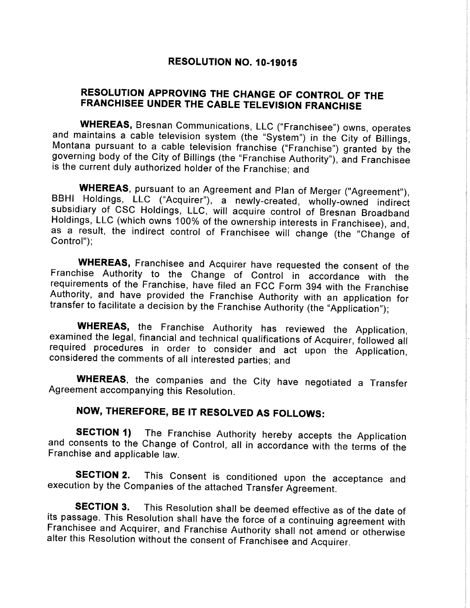### RESOLUTION NO. 10-19015

# RESOLUTION APPROVING THE CHANGE OF CONTROL OF THE FRANCHISEE UNDER THE CABLE TELEVISION FRANGHISE

**WHEREAS,** Bresnan Communications, LLC ("Franchisee") owns, operates and maintains a cable television system (the "System") in the City of Billings, Montana pursuant to a cable television franchise ("Franchise") granted by is the current duly authorized holder of the Franchise; and

**WHEREAS**, pursuant to an Agreement and Plan of Merger ("Agreement"), BBHI Holdings, LLC ("Acquirer"), a newly-created, wholly-owned indirect subsidiary of CSC Holdings, LLC, will acquire control of Bresnan Broadband Holdi

**WHEREAS,** Franchisee and Acquirer have requested the consent of the Franchise Authority to the Change of Control in accordance with the requirements of the Franchise, have filed an FCC Form 394 with the Franchise Authorit

**WHEREAS,** the Franchise Authority has reviewed the Application, examined the legal, financial and technical qualifications of Acquirer, followed all required procedures in order to consider and act upon the Application, c

WHEREAS, the companies and the City have negotiated a Transfer Agreement accompanying this Resolution.

# NOW, THEREFORE, BE IT RESOLVED AS FOLLOWS:

**SECTION 1)** The Franchise Authority hereby accepts the Application and consents to the Change of Control, all in accordance with the terms of the Franchise and applicable law.

**SECTION 2.** This Consent is conditioned upon the acceptance and execution by the Companies of the attached Transfer Agreement.

**SECTION 3.** This Resolution shall be deemed effective as of the date of its passage. This Resolution shall have the force of a continuing agreement with Franchisee and Acquirer, and Franchise Authority shall not amend or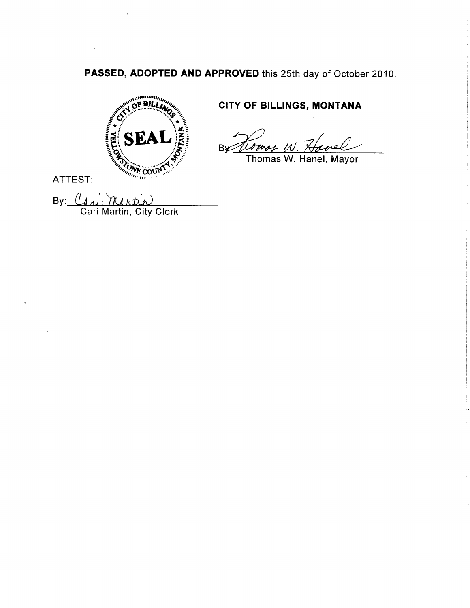PASSED, ADOPTED AND APPROVED this 25th day of October 2010.



# CITY OF BILLINGS, MONTANA

By trongs W. Havel

Thomas W. Hanel, Mayor

ATTEST:

By:  $\mathcal{C}_d$ Cari Martin, City Clerk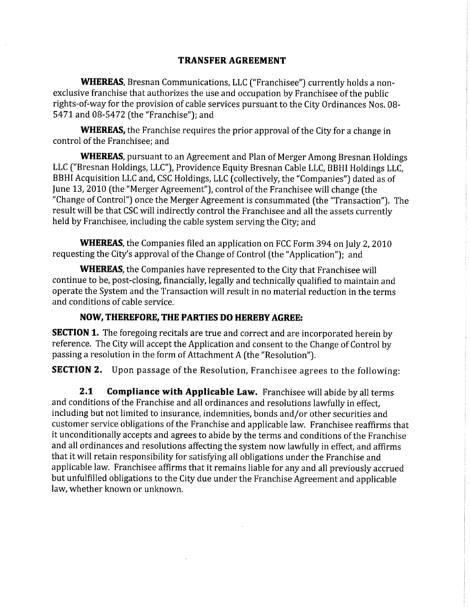#### TRANSFER AGREEMENT

WHEREAS, Bresnan Communications, LLC ("Franchisee") currently holds a nonexclusive franchise that authorizes the use and occupation by Franchisee of the public rights-of-way for the provision of cable services pursuant to the City Ordinances Nos. 0B-547L and 08-5472 (the "Franchise"); and

**WHEREAS,** the Franchise requires the prior approval of the City for a change in control of the Franchisee: and

WHEREAS, pursuant to an Agreement and Plan of Merger Among Bresnan Holdings LLC ("Bresnan Holdings, LLC"), Providence Equity Bresnan Cable LLC, BBHI Holdings LLC, BBHI Acquisition LLC and, CSC Holdings, LLC (collectively, the "Companies") dated as of June 13, 2010 (the "Merger Agreement"), control of the Franchisee will change (the "Change of Control") once the Merger Agreement is consummated (the "Transaction"). The result will be that CSC will indirectly control the Franchisee and all the assets currently held by Franchisee, including the cable system serving the City; and

**WHEREAS**, the Companies filed an application on FCC Form 394 on July 2, 2010 requesting the City's approval of the Change of Control [the "Application"); and

WHEREAS, the Companies have represented to the City that Franchisee will continue to be, post-closing, financially, legally and technically qualified to maintain and operate the System and the Transaction will result in no material reduction in the terms and conditions of cable service.

### NOW, THEREFORE, THE PARTIES DO HEREBY AGREE:

**SECTION 1.** The foregoing recitals are true and correct and are incorporated herein by reference. The City will accept the Appìication and consent to the Change of Control by passing a resolution in the form of Attachment A (the "Resolution").

**SECTION 2.** Upon passage of the Resolution, Franchisee agrees to the following:

**2.1 Compliance with Applicable Law.** Franchisee will abide by all terms and conditions of the Franchise and all ordinances and resolutions lawfully in effect, including but not limited to insurance, indemnities, bonds and/or other securities and customer service obligations of the Franchise and applicable law. Franchisee reaffirms that it unconditionally accepts and agrees to abide by the terms and conditions of the Franchise and all ordinances and resolutions affecting the system now lawfully in effect, and affirms that it will retain responsibility for satisfying all obligations under the Franchise and applicable law. Franchisee affirms that it remains liable for any and all previously accrued but unfulfilled obligations to the City due under the Franchise Agreement and applicable law, whether known or unknown.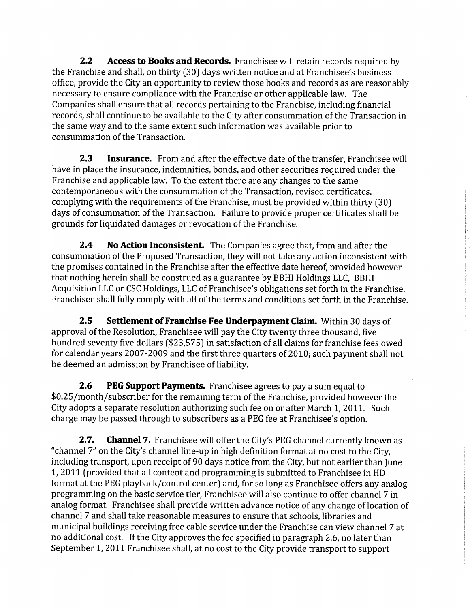2.2 Access to Books and Records. Franchisee will retain records required by the Franchise and shall, on thirty (30) days written notice and at Franchisee's business office, provide the City an opportunity to review those books and records as are reasonably , necessary to ensure compliance with the Franchise or other applicable law. The Companies shall ensure that all records pertaining to the Franchise, including financial records, shall continue to be available to the City after consummation of the Transaction in the same way and to the same extent such information was available prior to consummation of the Transaction.

**2.3** Insurance. From and after the effective date of the transfer, Franchisee will have in place the insurance, indemnities, bonds, and other securities required under the Franchise and applicable law. To the extent there are any changes to the same contemporaneous with the consummation of the Transaction, revised certificates, complying with the requirements of the Franchise, must be provided within thirty (30) days of consummation of the Transaction. Failure to provide proper certificates shall be <sup>1</sup> grounds for liquidated damages or revocation of the Franchise.

2.4 No Action Inconsistent. The Companies agree that, from and after the consummation of the Proposed Transaction, they will not take any action inconsistent with the promises contained in the Franchise after the effective date hereof, provided however that nothing herein shall be construed as a guarantee by BBHI Holdings LLC, BBHI Acquisition LLC or CSC Holdings, LLC of Franchisee's obligations set forth in the Franchise. Franchisee shall fully comply with all of the terms and conditions set forth in the Franchise.

**2.5** Settlement of Franchise Fee Underpayment Claim. Within 30 days of approval of the Resolution, Franchisee will pay the City twenty three thousand, five hundred seventy five dollars (\$23,575) in satisfaction of all claims for franchise fees owed for calendar years 2007-2009 and the first three quarters of 2010; such payment shall not be deemed an admission by Franchisee of liability.

**2.6** PEG Support Payments. Franchisee agrees to pay a sum equal to \$0.25/month/subscriber for the remaining term of the Franchise, provided however the : City adopts a separate resolution authorizing such fee on or after March 1, 2011. Such charge may be passed through to subscribers as a PEG fee at Franchisee's option.

**2.7.** Channel 7. Franchisee will offer the City's PEG channel currently known as "channel 7" on the City's channel line-up in high definition format at no cost to the City, including transport, upon receipt of 90 days notice from the City, but not earlier than June 1, 2011 (provided that all content and programming is submitted to Franchisee in HD format at the PEG playback/control center) and, for so long as Franchisee offers any analog programming on the basic service tier, Franchisee will also continue to offer channel 7 in analog format. Franchisee shall provide written advance notice of any change of location of channel 7 and shall take reasonable measures to ensure that schools, libraries and municipal buildings receiving free cable service under the Franchise can view channel 7 at no additional cost. If the City approves the fee specified in paragraph 2.6, no later than September 1, 2011 Franchisee shall, at no cost to the City provide transport to support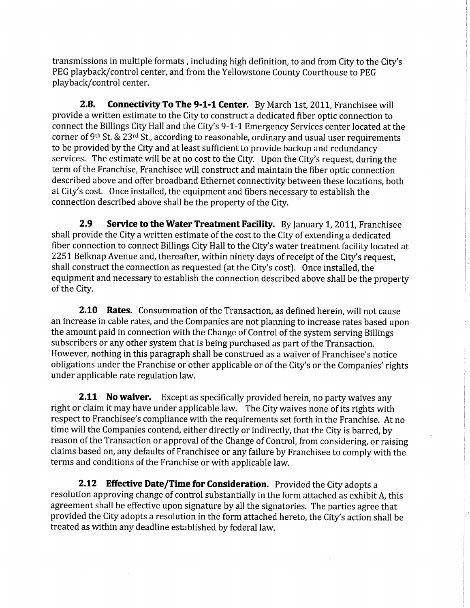transmissions in multiple formats, including high definition, to and from City to the City's PEG playback/control center, and from the Yellowstone County Courthouse to PEG playback/control center.

2.8. Connectivity To The 9-1-1 Center. By March 1st, 2011, Franchisee will provide a written estimate to the City to construct a dedicated fiber optic connection to connect the Billings City Hall and the City's 9-1-1 Emergency Services center located at the corner of 9<sup>th</sup> St. & 23<sup>rd</sup> St., according to reasonable, ordinary and usual user requirements to be provided by the City and at least sufficient to provide backup and redundancy services. The estimate will be at no cost to the City. Upon the City's request, during the term of the Franchise, Franchisee will construct and maintain the fiber optic connection described above and offer broadband Ethernet connectivity between these locations, both at City's cost. 0nce installed, the equipment and fibers necessary to establish the connection described above shall be the property of the City.

2.9 Service to the Water Treatment Facility. By January 1, 2011, Franchisee shall provide the City a written estimate of the cost to the City of extending a dedicated fiber connection to connect Billings City Hall to the City's water treatment facility located at 2251 Belknap Avenue and, thereafter, within ninety days of receipt of the City's request, shall construct the connection as requested (at the City's cost). Once installed, the equipment and necessary to establish the connection described above shall be the property of the City.

**2.10 Rates.** Consummation of the Transaction, as defined herein, will not cause an increase in cable rates, and the Companies are not planning to increase rates based upon the amount paid in connection with the Change of Control of the system serving Billings subscribers or any other system that is being purchased as part of the Transaction. However, nothing in this paragraph shall be construed as a waiver of Franchisee's notice obligations under the Franchise or other applicable or of the City's or the Companies' rights under applicable rate regulation law.

**2.11 No waiver.** Except as specifically provided herein, no party waives any right or claim it may have under applicable law. The City waives none of its rights with respect to Franchisee's compliance with the requirements set forth in the Franchise. At no time will the Companies contend, either directly or indirectly, that the City is barred, by reason of the Transaction or approval of the Change of Control, from considering, or raising claims based on, any defaults of Franchisee or any failure by Franchisee to comply with the terms and conditions of the Franchise or with applicable law.

2.12 Effective Date/Time for Consideration. Provided the City adopts a resolution approving change of control substantially in the form attached as exhibit A, this agreement shall be effective upon signature by all the signatories. The parties agree that provided the City adopts a resolution in the form attached hereto, the City's action shall be treated as within any deadline established by federal law,